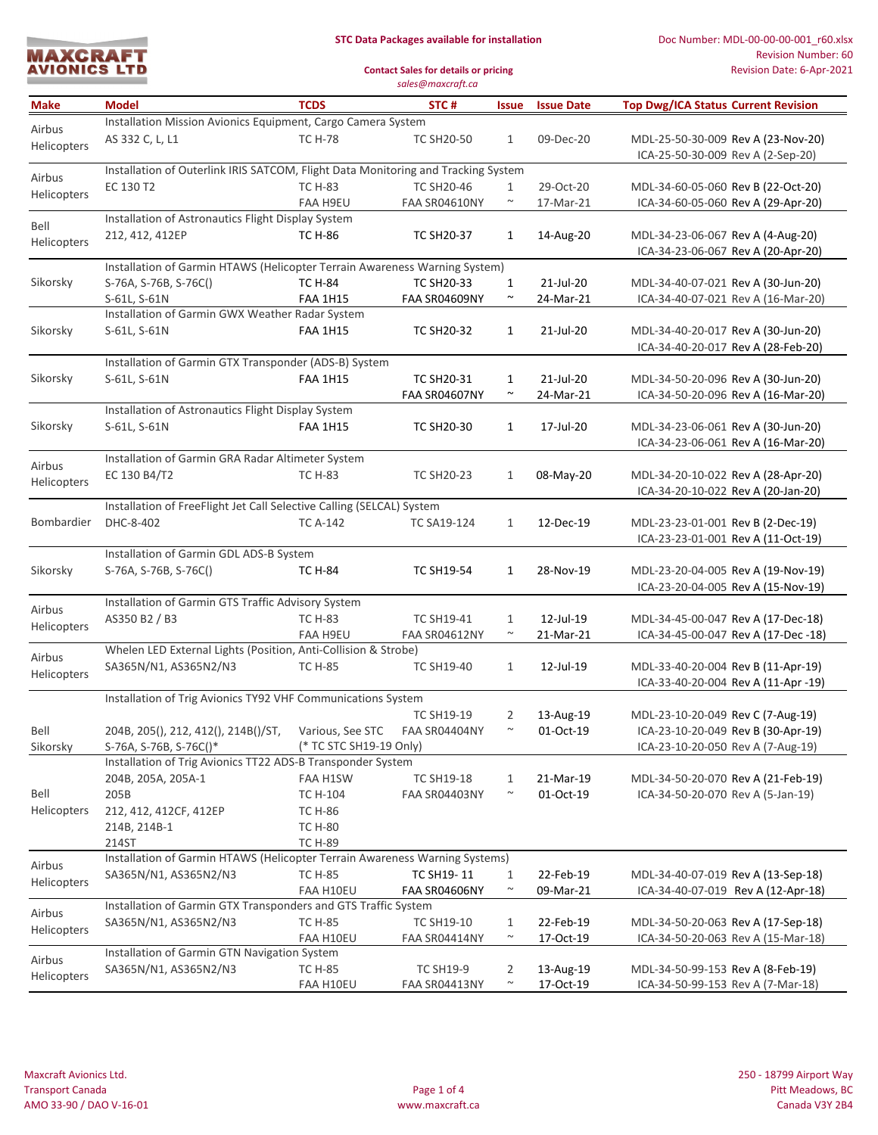| <b>MAXCRAFT</b>     |  |
|---------------------|--|
|                     |  |
| <b>AVIONICS LTD</b> |  |
|                     |  |

## **STC Data Packages available for installation**

Doc Number: MDL-00-00-00-001\_r60.xlsx Revision Number: 60 Revision Date: 6-Apr-2021

**Contact Sales for details or pricing** *sales@maxcraft.ca*

| <b>Make</b>                                                              | <b>Model</b>                                                                      | <b>TCDS</b>             | STC#               | <b>Issue</b> | <b>Issue Date</b> | <b>Top Dwg/ICA Status Current Revision</b> |  |  |
|--------------------------------------------------------------------------|-----------------------------------------------------------------------------------|-------------------------|--------------------|--------------|-------------------|--------------------------------------------|--|--|
|                                                                          | Installation Mission Avionics Equipment, Cargo Camera System                      |                         |                    |              |                   |                                            |  |  |
| Airbus                                                                   | AS 332 C, L, L1                                                                   | <b>TC H-78</b>          | <b>TC SH20-50</b>  | $\mathbf{1}$ | 09-Dec-20         | MDL-25-50-30-009 Rev A (23-Nov-20)         |  |  |
| Helicopters                                                              |                                                                                   |                         |                    |              |                   | ICA-25-50-30-009 Rev A (2-Sep-20)          |  |  |
|                                                                          | Installation of Outerlink IRIS SATCOM, Flight Data Monitoring and Tracking System |                         |                    |              |                   |                                            |  |  |
| Airbus                                                                   | EC 130 T2                                                                         | <b>TC H-83</b>          | <b>TC SH20-46</b>  | $\mathbf{1}$ | 29-Oct-20         | MDL-34-60-05-060 Rev B (22-Oct-20)         |  |  |
| Helicopters                                                              |                                                                                   | FAA H9EU                | FAA SR04610NY      | $\sim$       | 17-Mar-21         | ICA-34-60-05-060 Rev A (29-Apr-20)         |  |  |
|                                                                          | Installation of Astronautics Flight Display System                                |                         |                    |              |                   |                                            |  |  |
| Bell                                                                     | 212, 412, 412EP                                                                   | <b>TC H-86</b>          | <b>TC SH20-37</b>  | 1            | 14-Aug-20         | MDL-34-23-06-067 Rev A (4-Aug-20)          |  |  |
| Helicopters                                                              |                                                                                   |                         |                    |              |                   | ICA-34-23-06-067 Rev A (20-Apr-20)         |  |  |
|                                                                          | Installation of Garmin HTAWS (Helicopter Terrain Awareness Warning System)        |                         |                    |              |                   |                                            |  |  |
| Sikorsky                                                                 | S-76A, S-76B, S-76C()                                                             | <b>TC H-84</b>          | <b>TC SH20-33</b>  | $\mathbf{1}$ | 21-Jul-20         | MDL-34-40-07-021 Rev A (30-Jun-20)         |  |  |
|                                                                          | S-61L, S-61N                                                                      | <b>FAA 1H15</b>         | FAA SR04609NY      | $\sim$       | 24-Mar-21         | ICA-34-40-07-021 Rev A (16-Mar-20)         |  |  |
|                                                                          | Installation of Garmin GWX Weather Radar System                                   |                         |                    |              |                   |                                            |  |  |
| Sikorsky                                                                 | S-61L, S-61N                                                                      | <b>FAA 1H15</b>         | <b>TC SH20-32</b>  | $\mathbf{1}$ | 21-Jul-20         | MDL-34-40-20-017 Rev A (30-Jun-20)         |  |  |
|                                                                          |                                                                                   |                         |                    |              |                   | ICA-34-40-20-017 Rev A (28-Feb-20)         |  |  |
|                                                                          | Installation of Garmin GTX Transponder (ADS-B) System                             |                         |                    |              |                   |                                            |  |  |
| Sikorsky                                                                 | S-61L, S-61N                                                                      | <b>FAA 1H15</b>         | <b>TC SH20-31</b>  | $\mathbf{1}$ | 21-Jul-20         | MDL-34-50-20-096 Rev A (30-Jun-20)         |  |  |
|                                                                          |                                                                                   |                         | FAA SR04607NY      | $\sim$       | 24-Mar-21         | ICA-34-50-20-096 Rev A (16-Mar-20)         |  |  |
|                                                                          | Installation of Astronautics Flight Display System                                |                         |                    |              |                   |                                            |  |  |
| Sikorsky                                                                 | S-61L, S-61N                                                                      | <b>FAA 1H15</b>         | <b>TC SH20-30</b>  | $\mathbf{1}$ | 17-Jul-20         | MDL-34-23-06-061 Rev A (30-Jun-20)         |  |  |
|                                                                          |                                                                                   |                         |                    |              |                   | ICA-34-23-06-061 Rev A (16-Mar-20)         |  |  |
|                                                                          | Installation of Garmin GRA Radar Altimeter System                                 |                         |                    |              |                   |                                            |  |  |
| Airbus                                                                   | EC 130 B4/T2                                                                      | <b>TC H-83</b>          | <b>TC SH20-23</b>  | $\mathbf{1}$ | 08-May-20         | MDL-34-20-10-022 Rev A (28-Apr-20)         |  |  |
| Helicopters                                                              |                                                                                   |                         |                    |              |                   | ICA-34-20-10-022 Rev A (20-Jan-20)         |  |  |
|                                                                          | Installation of FreeFlight Jet Call Selective Calling (SELCAL) System             |                         |                    |              |                   |                                            |  |  |
| Bombardier                                                               | DHC-8-402                                                                         | <b>TC A-142</b>         | <b>TC SA19-124</b> | $\mathbf{1}$ | 12-Dec-19         | MDL-23-23-01-001 Rev B (2-Dec-19)          |  |  |
|                                                                          |                                                                                   |                         |                    |              |                   | ICA-23-23-01-001 Rev A (11-Oct-19)         |  |  |
|                                                                          | Installation of Garmin GDL ADS-B System                                           |                         |                    |              |                   |                                            |  |  |
| Sikorsky                                                                 | S-76A, S-76B, S-76C()                                                             | <b>TC H-84</b>          | <b>TC SH19-54</b>  | $\mathbf{1}$ | 28-Nov-19         | MDL-23-20-04-005 Rev A (19-Nov-19)         |  |  |
|                                                                          |                                                                                   |                         |                    |              |                   | ICA-23-20-04-005 Rev A (15-Nov-19)         |  |  |
| Airbus                                                                   | Installation of Garmin GTS Traffic Advisory System                                |                         |                    |              |                   |                                            |  |  |
|                                                                          | AS350 B2 / B3                                                                     | <b>TC H-83</b>          | <b>TC SH19-41</b>  | $\mathbf{1}$ | 12-Jul-19         | MDL-34-45-00-047 Rev A (17-Dec-18)         |  |  |
| Helicopters                                                              |                                                                                   | <b>FAA H9EU</b>         | FAA SR04612NY      | $\sim$       | 21-Mar-21         | ICA-34-45-00-047 Rev A (17-Dec -18)        |  |  |
| Airbus                                                                   | Whelen LED External Lights (Position, Anti-Collision & Strobe)                    |                         |                    |              |                   |                                            |  |  |
| Helicopters                                                              | SA365N/N1, AS365N2/N3                                                             | <b>TC H-85</b>          | <b>TC SH19-40</b>  | $\mathbf{1}$ | 12-Jul-19         | MDL-33-40-20-004 Rev B (11-Apr-19)         |  |  |
|                                                                          |                                                                                   |                         |                    |              |                   | ICA-33-40-20-004 Rev A (11-Apr -19)        |  |  |
|                                                                          | Installation of Trig Avionics TY92 VHF Communications System                      |                         |                    |              |                   |                                            |  |  |
|                                                                          |                                                                                   |                         | <b>TC SH19-19</b>  | 2            | 13-Aug-19         | MDL-23-10-20-049 Rev C (7-Aug-19)          |  |  |
| Bell                                                                     | 204B, 205(), 212, 412(), 214B()/ST,                                               | Various, See STC        | FAA SR04404NY      | $\sim$       | 01-Oct-19         | ICA-23-10-20-049 Rev B (30-Apr-19)         |  |  |
| Sikorsky                                                                 | S-76A, S-76B, S-76C()*                                                            | (* TC STC SH19-19 Only) |                    |              |                   | ICA-23-10-20-050 Rev A (7-Aug-19)          |  |  |
|                                                                          | Installation of Trig Avionics TT22 ADS-B Transponder System                       |                         |                    |              |                   |                                            |  |  |
|                                                                          | 204B, 205A, 205A-1                                                                | FAA H1SW                | <b>TC SH19-18</b>  | 1            | 21-Mar-19         | MDL-34-50-20-070 Rev A (21-Feb-19)         |  |  |
| Bell                                                                     | 205B                                                                              | TC H-104                | FAA SR04403NY      | $\sim$       | 01-Oct-19         | ICA-34-50-20-070 Rev A (5-Jan-19)          |  |  |
| Helicopters                                                              | 212, 412, 412CF, 412EP                                                            | <b>TC H-86</b>          |                    |              |                   |                                            |  |  |
|                                                                          | 214B, 214B-1                                                                      | <b>TC H-80</b>          |                    |              |                   |                                            |  |  |
|                                                                          | 214ST                                                                             | <b>TC H-89</b>          |                    |              |                   |                                            |  |  |
| Airbus                                                                   | Installation of Garmin HTAWS (Helicopter Terrain Awareness Warning Systems)       |                         |                    |              |                   |                                            |  |  |
| Helicopters                                                              | SA365N/N1, AS365N2/N3                                                             | <b>TC H-85</b>          | TC SH19-11         | $\mathbf{1}$ | 22-Feb-19         | MDL-34-40-07-019 Rev A (13-Sep-18)         |  |  |
|                                                                          |                                                                                   | FAA H10EU               | FAA SR04606NY      | $\sim$       | 09-Mar-21         | ICA-34-40-07-019 Rev A (12-Apr-18)         |  |  |
| Installation of Garmin GTX Transponders and GTS Traffic System<br>Airbus |                                                                                   |                         |                    |              |                   |                                            |  |  |
| Helicopters                                                              | SA365N/N1, AS365N2/N3                                                             | <b>TC H-85</b>          | <b>TC SH19-10</b>  | 1            | 22-Feb-19         | MDL-34-50-20-063 Rev A (17-Sep-18)         |  |  |
|                                                                          |                                                                                   | FAA H10EU               | FAA SR04414NY      | $\sim$       | 17-Oct-19         | ICA-34-50-20-063 Rev A (15-Mar-18)         |  |  |
| Airbus                                                                   | Installation of Garmin GTN Navigation System                                      |                         |                    |              |                   |                                            |  |  |
| Helicopters                                                              | SA365N/N1, AS365N2/N3                                                             | <b>TC H-85</b>          | <b>TC SH19-9</b>   | 2            | 13-Aug-19         | MDL-34-50-99-153 Rev A (8-Feb-19)          |  |  |
|                                                                          |                                                                                   | FAA H10EU               | FAA SR04413NY      | $\sim$       | 17-Oct-19         | ICA-34-50-99-153 Rev A (7-Mar-18)          |  |  |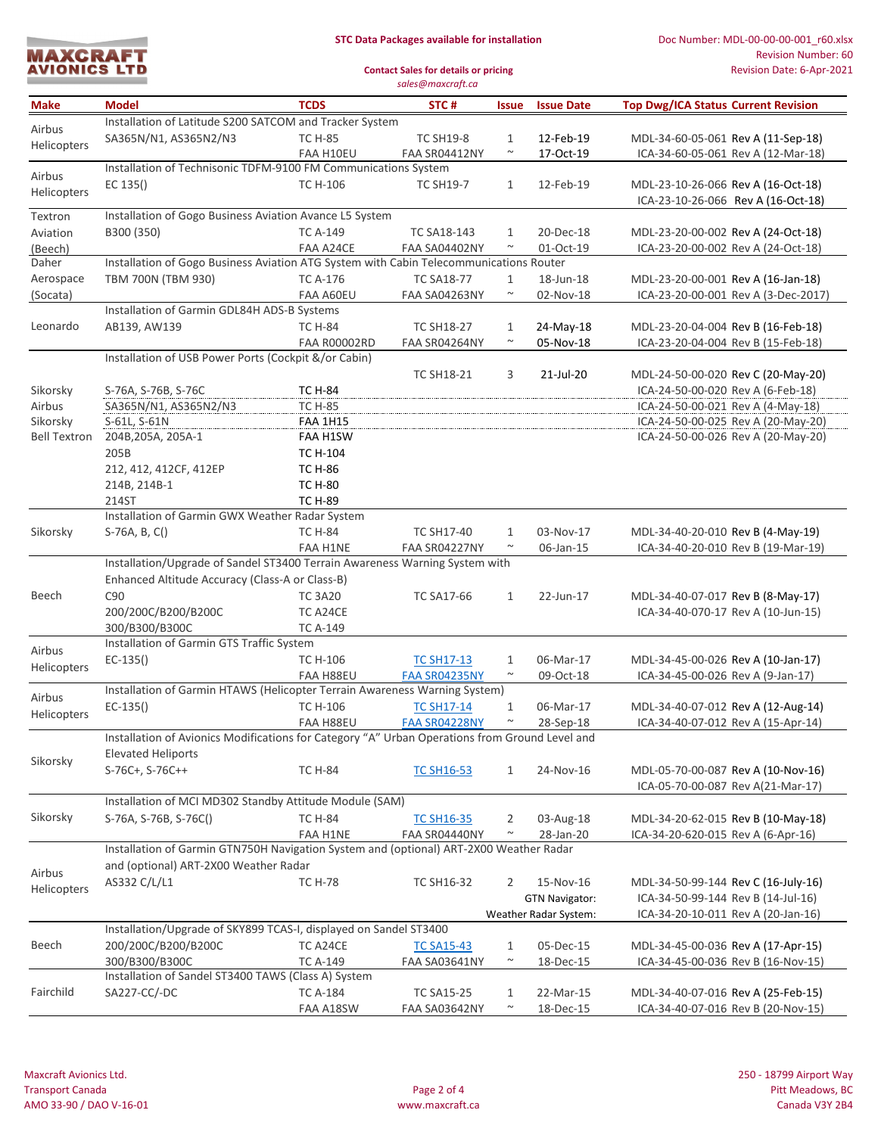| <b>MAXCRAFT</b>     |  |
|---------------------|--|
|                     |  |
| <b>AVIONICS LTD</b> |  |
|                     |  |

## **STC Data Packages available for installation**

Doc Number: MDL-00-00-00-001\_r60.xlsx Revision Number: 60 Revision Date: 6-Apr-2021

**Contact Sales for details or pricing** *sales@maxcraft.ca*

| <b>Make</b>         | <b>Model</b>                                                                                   | <b>TCDS</b>         | STC#                 | <b>Issue</b>   | <b>Issue Date</b>     | <b>Top Dwg/ICA Status Current Revision</b> |  |  |
|---------------------|------------------------------------------------------------------------------------------------|---------------------|----------------------|----------------|-----------------------|--------------------------------------------|--|--|
| Airbus              | Installation of Latitude S200 SATCOM and Tracker System                                        |                     |                      |                |                       |                                            |  |  |
|                     | SA365N/N1, AS365N2/N3                                                                          | <b>TC H-85</b>      | <b>TC SH19-8</b>     | $\mathbf{1}$   | 12-Feb-19             | MDL-34-60-05-061 Rev A (11-Sep-18)         |  |  |
| Helicopters         |                                                                                                | FAA H10EU           | FAA SR04412NY        | $\sim$         | 17-Oct-19             | ICA-34-60-05-061 Rev A (12-Mar-18)         |  |  |
| Airbus              | Installation of Technisonic TDFM-9100 FM Communications System                                 |                     |                      |                |                       |                                            |  |  |
| Helicopters         | EC 135()                                                                                       | <b>TC H-106</b>     | <b>TC SH19-7</b>     | $\mathbf{1}$   | 12-Feb-19             | MDL-23-10-26-066 Rev A (16-Oct-18)         |  |  |
|                     |                                                                                                |                     |                      |                |                       | ICA-23-10-26-066 Rev A (16-Oct-18)         |  |  |
| Textron             | Installation of Gogo Business Aviation Avance L5 System                                        |                     |                      |                |                       |                                            |  |  |
| Aviation            | B300 (350)                                                                                     | <b>TC A-149</b>     | <b>TC SA18-143</b>   | 1              | 20-Dec-18             | MDL-23-20-00-002 Rev A (24-Oct-18)         |  |  |
| (Beech)             |                                                                                                | FAA A24CE           | <b>FAA SA04402NY</b> | $\sim$         | 01-Oct-19             | ICA-23-20-00-002 Rev A (24-Oct-18)         |  |  |
| Daher               | Installation of Gogo Business Aviation ATG System with Cabin Telecommunications Router         |                     |                      |                |                       |                                            |  |  |
| Aerospace           | TBM 700N (TBM 930)                                                                             | <b>TC A-176</b>     | <b>TC SA18-77</b>    | $\mathbf{1}$   | 18-Jun-18             | MDL-23-20-00-001 Rev A (16-Jan-18)         |  |  |
| (Socata)            |                                                                                                | FAA A60EU           | FAA SA04263NY        | $\sim$         | 02-Nov-18             | ICA-23-20-00-001 Rev A (3-Dec-2017)        |  |  |
|                     | Installation of Garmin GDL84H ADS-B Systems                                                    |                     |                      |                |                       |                                            |  |  |
| Leonardo            | AB139, AW139                                                                                   | <b>TC H-84</b>      | <b>TC SH18-27</b>    | $\mathbf{1}$   | 24-May-18             | MDL-23-20-04-004 Rev B (16-Feb-18)         |  |  |
|                     |                                                                                                | <b>FAA R00002RD</b> | FAA SR04264NY        | $\sim$         | 05-Nov-18             | ICA-23-20-04-004 Rev B (15-Feb-18)         |  |  |
|                     | Installation of USB Power Ports (Cockpit &/or Cabin)                                           |                     |                      |                |                       |                                            |  |  |
|                     |                                                                                                |                     | <b>TC SH18-21</b>    | 3              | 21-Jul-20             | MDL-24-50-00-020 Rev C (20-May-20)         |  |  |
| Sikorsky            | S-76A, S-76B, S-76C                                                                            | <b>TC H-84</b>      |                      |                |                       | ICA-24-50-00-020 Rev A (6-Feb-18)          |  |  |
| Airbus              | SA365N/N1, AS365N2/N3                                                                          | <b>TC H-85</b>      |                      |                |                       | ICA-24-50-00-021 Rev A (4-May-18)          |  |  |
| Sikorsky            | S-61L, S-61N                                                                                   | <b>FAA 1H15</b>     |                      |                |                       | ICA-24-50-00-025 Rev A (20-May-20)         |  |  |
| <b>Bell Textron</b> | 204B, 205A, 205A-1                                                                             | FAA H1SW            |                      |                |                       | ICA-24-50-00-026 Rev A (20-May-20)         |  |  |
|                     | 205B                                                                                           | TC H-104            |                      |                |                       |                                            |  |  |
|                     | 212, 412, 412CF, 412EP                                                                         | <b>TC H-86</b>      |                      |                |                       |                                            |  |  |
|                     | 214B, 214B-1                                                                                   | <b>TC H-80</b>      |                      |                |                       |                                            |  |  |
|                     | 214ST                                                                                          | <b>TC H-89</b>      |                      |                |                       |                                            |  |  |
|                     | Installation of Garmin GWX Weather Radar System                                                |                     |                      |                |                       |                                            |  |  |
| Sikorsky            | S-76A, B, C()                                                                                  | <b>TC H-84</b>      | <b>TC SH17-40</b>    | $\mathbf{1}$   | 03-Nov-17             | MDL-34-40-20-010 Rev B (4-May-19)          |  |  |
|                     |                                                                                                | FAA H1NE            | FAA SR04227NY        | $\sim$         | 06-Jan-15             | ICA-34-40-20-010 Rev B (19-Mar-19)         |  |  |
|                     | Installation/Upgrade of Sandel ST3400 Terrain Awareness Warning System with                    |                     |                      |                |                       |                                            |  |  |
|                     | Enhanced Altitude Accuracy (Class-A or Class-B)                                                |                     |                      |                |                       |                                            |  |  |
| Beech               | C <sub>90</sub>                                                                                | <b>TC 3A20</b>      | <b>TC SA17-66</b>    | $\mathbf{1}$   | 22-Jun-17             | MDL-34-40-07-017 Rev B (8-May-17)          |  |  |
|                     | 200/200C/B200/B200C                                                                            | TC A24CE            |                      |                |                       | ICA-34-40-070-17 Rev A (10-Jun-15)         |  |  |
|                     | 300/B300/B300C                                                                                 | <b>TC A-149</b>     |                      |                |                       |                                            |  |  |
| Airbus              | Installation of Garmin GTS Traffic System                                                      |                     |                      |                |                       |                                            |  |  |
| Helicopters         | $EC-135()$                                                                                     | <b>TC H-106</b>     | <b>TC SH17-13</b>    | $\mathbf{1}$   | 06-Mar-17             | MDL-34-45-00-026 Rev A (10-Jan-17)         |  |  |
|                     |                                                                                                | FAA H88EU           | FAA SR04235NY        | $\sim$         | 09-Oct-18             | ICA-34-45-00-026 Rev A (9-Jan-17)          |  |  |
| Airbus              | Installation of Garmin HTAWS (Helicopter Terrain Awareness Warning System)                     |                     |                      |                |                       |                                            |  |  |
| Helicopters         | $EC-135()$                                                                                     | <b>TC H-106</b>     | <b>TC SH17-14</b>    | $\mathbf{1}$   | 06-Mar-17             | MDL-34-40-07-012 Rev A (12-Aug-14)         |  |  |
|                     |                                                                                                | FAA H88EU           | FAA SR04228NY        | $\sim$         | 28-Sep-18             | ICA-34-40-07-012 Rev A (15-Apr-14)         |  |  |
|                     | Installation of Avionics Modifications for Category "A" Urban Operations from Ground Level and |                     |                      |                |                       |                                            |  |  |
| Sikorsky            | <b>Elevated Heliports</b>                                                                      |                     |                      |                |                       |                                            |  |  |
|                     | S-76C+, S-76C++                                                                                | <b>TC H-84</b>      | <b>TC SH16-53</b>    | $\mathbf{1}$   | 24-Nov-16             | MDL-05-70-00-087 Rev A (10-Nov-16)         |  |  |
|                     |                                                                                                |                     |                      |                |                       | ICA-05-70-00-087 Rev A(21-Mar-17)          |  |  |
|                     | Installation of MCI MD302 Standby Attitude Module (SAM)                                        |                     |                      |                |                       |                                            |  |  |
| Sikorsky            | S-76A, S-76B, S-76C()                                                                          | <b>TC H-84</b>      | <b>TC SH16-35</b>    | 2              | 03-Aug-18             | MDL-34-20-62-015 Rev B (10-May-18)         |  |  |
|                     |                                                                                                | FAA H1NE            | FAA SR04440NY        | $\sim$         | 28-Jan-20             | ICA-34-20-620-015 Rev A (6-Apr-16)         |  |  |
|                     | Installation of Garmin GTN750H Navigation System and (optional) ART-2X00 Weather Radar         |                     |                      |                |                       |                                            |  |  |
| Airbus              | and (optional) ART-2X00 Weather Radar                                                          |                     |                      |                |                       |                                            |  |  |
| Helicopters         | AS332 C/L/L1                                                                                   | <b>TC H-78</b>      | TC SH16-32           | $\overline{2}$ | 15-Nov-16             | MDL-34-50-99-144 Rev C (16-July-16)        |  |  |
|                     |                                                                                                |                     |                      |                | <b>GTN Navigator:</b> | ICA-34-50-99-144 Rev B (14-Jul-16)         |  |  |
|                     |                                                                                                |                     |                      |                | Weather Radar System: | ICA-34-20-10-011 Rev A (20-Jan-16)         |  |  |
|                     | Installation/Upgrade of SKY899 TCAS-I, displayed on Sandel ST3400                              |                     |                      |                |                       |                                            |  |  |
| Beech               | 200/200C/B200/B200C                                                                            | TC A24CE            | <b>TC SA15-43</b>    | 1              | 05-Dec-15             | MDL-34-45-00-036 Rev A (17-Apr-15)         |  |  |
|                     | 300/B300/B300C                                                                                 | <b>TC A-149</b>     | FAA SA03641NY        | $\sim$         | 18-Dec-15             | ICA-34-45-00-036 Rev B (16-Nov-15)         |  |  |
|                     | Installation of Sandel ST3400 TAWS (Class A) System                                            |                     |                      |                |                       |                                            |  |  |
| Fairchild           | SA227-CC/-DC                                                                                   | <b>TC A-184</b>     | <b>TC SA15-25</b>    | 1              | 22-Mar-15             | MDL-34-40-07-016 Rev A (25-Feb-15)         |  |  |
|                     |                                                                                                | FAA A18SW           | FAA SA03642NY        | $\sim$         | 18-Dec-15             | ICA-34-40-07-016 Rev B (20-Nov-15)         |  |  |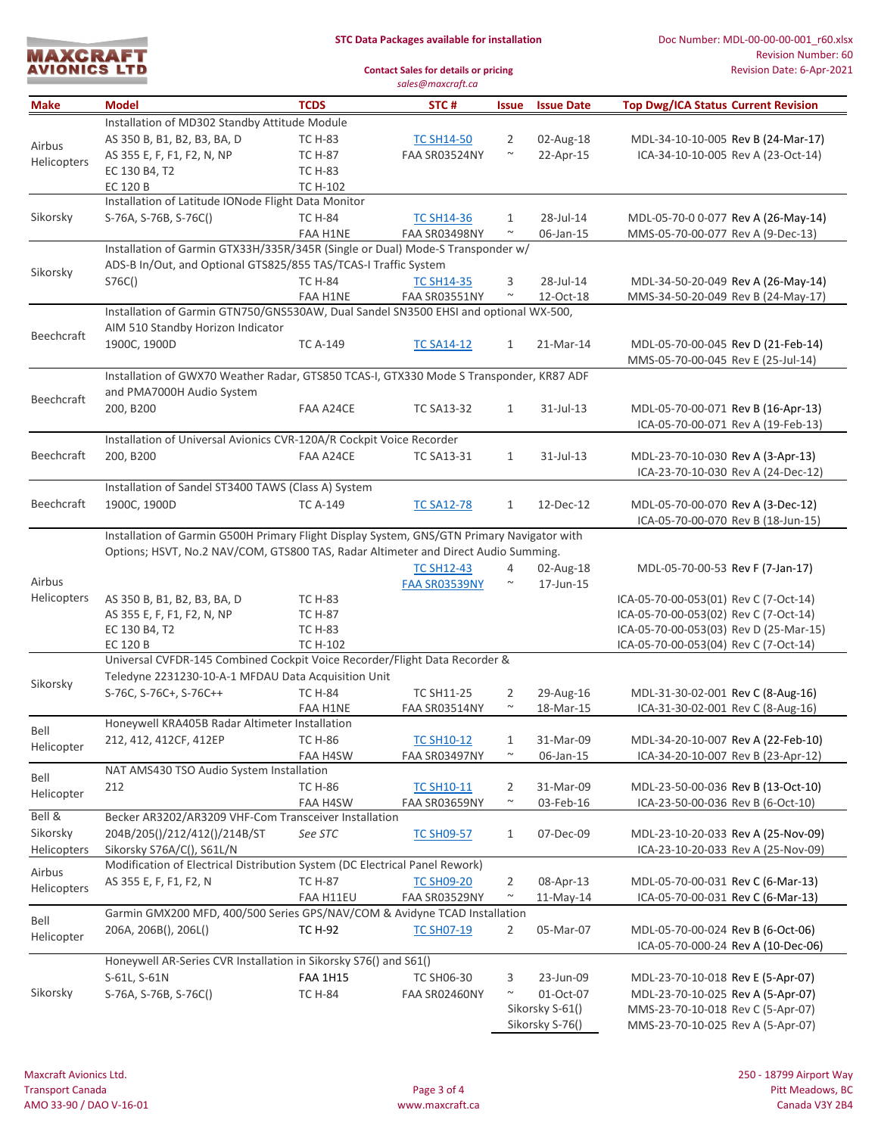

**Contact Sales for details or pricing**

|                   |                                                                                                          |                 | sales@maxcraft.ca |              |                   |                                            |  |  |  |
|-------------------|----------------------------------------------------------------------------------------------------------|-----------------|-------------------|--------------|-------------------|--------------------------------------------|--|--|--|
| Make              | <b>Model</b>                                                                                             | <b>TCDS</b>     | STC#              | <b>Issue</b> | <b>Issue Date</b> | <b>Top Dwg/ICA Status Current Revision</b> |  |  |  |
|                   | Installation of MD302 Standby Attitude Module                                                            |                 |                   |              |                   |                                            |  |  |  |
| Airbus            | AS 350 B, B1, B2, B3, BA, D                                                                              | <b>TC H-83</b>  | <b>TC SH14-50</b> | 2            | 02-Aug-18         | MDL-34-10-10-005 Rev B (24-Mar-17)         |  |  |  |
| Helicopters       | AS 355 E, F, F1, F2, N, NP                                                                               | <b>TC H-87</b>  | FAA SR03524NY     | $\sim$       | 22-Apr-15         | ICA-34-10-10-005 Rev A (23-Oct-14)         |  |  |  |
|                   | EC 130 B4, T2                                                                                            | <b>TC H-83</b>  |                   |              |                   |                                            |  |  |  |
|                   | EC 120 B                                                                                                 | <b>TC H-102</b> |                   |              |                   |                                            |  |  |  |
|                   | Installation of Latitude IONode Flight Data Monitor                                                      |                 |                   |              |                   |                                            |  |  |  |
| Sikorsky          | S-76A, S-76B, S-76C()                                                                                    | <b>TC H-84</b>  | <b>TC SH14-36</b> | 1            | 28-Jul-14         | MDL-05-70-0 0-077 Rev A (26-May-14)        |  |  |  |
|                   |                                                                                                          | FAA H1NE        | FAA SR03498NY     | $\sim$       | 06-Jan-15         | MMS-05-70-00-077 Rev A (9-Dec-13)          |  |  |  |
|                   | Installation of Garmin GTX33H/335R/345R (Single or Dual) Mode-S Transponder w/                           |                 |                   |              |                   |                                            |  |  |  |
| Sikorsky          | ADS-B In/Out, and Optional GTS825/855 TAS/TCAS-I Traffic System                                          |                 |                   |              |                   |                                            |  |  |  |
|                   | S76C()                                                                                                   | <b>TC H-84</b>  | <b>TC SH14-35</b> | 3            | 28-Jul-14         | MDL-34-50-20-049 Rev A (26-May-14)         |  |  |  |
|                   |                                                                                                          | FAA H1NE        | FAA SR03551NY     | $\sim$       | 12-Oct-18         | MMS-34-50-20-049 Rev B (24-May-17)         |  |  |  |
|                   | Installation of Garmin GTN750/GNS530AW, Dual Sandel SN3500 EHSI and optional WX-500,                     |                 |                   |              |                   |                                            |  |  |  |
| Beechcraft        | AIM 510 Standby Horizon Indicator                                                                        |                 |                   |              |                   |                                            |  |  |  |
|                   | 1900C, 1900D                                                                                             | <b>TC A-149</b> | <b>TC SA14-12</b> | $\mathbf{1}$ | 21-Mar-14         | MDL-05-70-00-045 Rev D (21-Feb-14)         |  |  |  |
|                   |                                                                                                          |                 |                   |              |                   | MMS-05-70-00-045 Rev E (25-Jul-14)         |  |  |  |
|                   | Installation of GWX70 Weather Radar, GTS850 TCAS-I, GTX330 Mode S Transponder, KR87 ADF                  |                 |                   |              |                   |                                            |  |  |  |
| <b>Beechcraft</b> | and PMA7000H Audio System                                                                                | FAA A24CE       | <b>TC SA13-32</b> |              |                   | MDL-05-70-00-071 Rev B (16-Apr-13)         |  |  |  |
|                   | 200, B200                                                                                                |                 |                   | $\mathbf{1}$ | 31-Jul-13         |                                            |  |  |  |
|                   | Installation of Universal Avionics CVR-120A/R Cockpit Voice Recorder                                     |                 |                   |              |                   | ICA-05-70-00-071 Rev A (19-Feb-13)         |  |  |  |
| Beechcraft        | 200, B200                                                                                                | FAA A24CE       | <b>TC SA13-31</b> | $\mathbf{1}$ | 31-Jul-13         | MDL-23-70-10-030 Rev A (3-Apr-13)          |  |  |  |
|                   |                                                                                                          |                 |                   |              |                   | ICA-23-70-10-030 Rev A (24-Dec-12)         |  |  |  |
|                   | Installation of Sandel ST3400 TAWS (Class A) System                                                      |                 |                   |              |                   |                                            |  |  |  |
| Beechcraft        | 1900C, 1900D                                                                                             | <b>TC A-149</b> | <b>TC SA12-78</b> | $\mathbf{1}$ | 12-Dec-12         | MDL-05-70-00-070 Rev A (3-Dec-12)          |  |  |  |
|                   |                                                                                                          |                 |                   |              |                   | ICA-05-70-00-070 Rev B (18-Jun-15)         |  |  |  |
|                   | Installation of Garmin G500H Primary Flight Display System, GNS/GTN Primary Navigator with               |                 |                   |              |                   |                                            |  |  |  |
|                   | Options; HSVT, No.2 NAV/COM, GTS800 TAS, Radar Altimeter and Direct Audio Summing.                       |                 |                   |              |                   |                                            |  |  |  |
|                   |                                                                                                          |                 | <b>TC SH12-43</b> | 4            | 02-Aug-18         | MDL-05-70-00-53 Rev F (7-Jan-17)           |  |  |  |
| Airbus            |                                                                                                          |                 | FAA SR03539NY     | $\sim$       | 17-Jun-15         |                                            |  |  |  |
| Helicopters       | AS 350 B, B1, B2, B3, BA, D                                                                              | <b>TC H-83</b>  |                   |              |                   | ICA-05-70-00-053(01) Rev C (7-Oct-14)      |  |  |  |
|                   | AS 355 E, F, F1, F2, N, NP                                                                               | <b>TC H-87</b>  |                   |              |                   | ICA-05-70-00-053(02) Rev C (7-Oct-14)      |  |  |  |
|                   | EC 130 B4, T2                                                                                            | <b>TC H-83</b>  |                   |              |                   | ICA-05-70-00-053(03) Rev D (25-Mar-15)     |  |  |  |
|                   | EC 120 B                                                                                                 | <b>TC H-102</b> |                   |              |                   | ICA-05-70-00-053(04) Rev C (7-Oct-14)      |  |  |  |
|                   | Universal CVFDR-145 Combined Cockpit Voice Recorder/Flight Data Recorder &                               |                 |                   |              |                   |                                            |  |  |  |
| Sikorsky          | Teledyne 2231230-10-A-1 MFDAU Data Acquisition Unit                                                      |                 |                   |              |                   |                                            |  |  |  |
|                   | S-76C, S-76C+, S-76C++                                                                                   | <b>TC H-84</b>  | <b>TC SH11-25</b> | 2            | 29-Aug-16         | MDL-31-30-02-001 Rev C (8-Aug-16)          |  |  |  |
|                   |                                                                                                          | FAA H1NE        | FAA SR03514NY     | $\sim$       | 18-Mar-15         | ICA-31-30-02-001 Rev C (8-Aug-16)          |  |  |  |
| Bell              | Honeywell KRA405B Radar Altimeter Installation                                                           |                 |                   |              |                   |                                            |  |  |  |
| Helicopter        | 212, 412, 412CF, 412EP                                                                                   | <b>TC H-86</b>  | <b>TC SH10-12</b> | 1            | 31-Mar-09         | MDL-34-20-10-007 Rev A (22-Feb-10)         |  |  |  |
|                   |                                                                                                          | FAA H4SW        | FAA SR03497NY     | $\sim$       | 06-Jan-15         | ICA-34-20-10-007 Rev B (23-Apr-12)         |  |  |  |
| Bell              | NAT AMS430 TSO Audio System Installation                                                                 |                 |                   |              |                   |                                            |  |  |  |
| Helicopter        | 212                                                                                                      | <b>TC H-86</b>  | <b>TC SH10-11</b> | 2            | 31-Mar-09         | MDL-23-50-00-036 Rev B (13-Oct-10)         |  |  |  |
| Bell &            |                                                                                                          | FAA H4SW        | FAA SR03659NY     | $\sim$       | 03-Feb-16         | ICA-23-50-00-036 Rev B (6-Oct-10)          |  |  |  |
| Sikorsky          | Becker AR3202/AR3209 VHF-Com Transceiver Installation                                                    |                 |                   |              |                   |                                            |  |  |  |
| Helicopters       | 204B/205()/212/412()/214B/ST                                                                             | See STC         | <b>TC SH09-57</b> | 1            | 07-Dec-09         | MDL-23-10-20-033 Rev A (25-Nov-09)         |  |  |  |
|                   | Sikorsky S76A/C(), S61L/N<br>Modification of Electrical Distribution System (DC Electrical Panel Rework) |                 |                   |              |                   | ICA-23-10-20-033 Rev A (25-Nov-09)         |  |  |  |
| Airbus            | AS 355 E, F, F1, F2, N                                                                                   | <b>TC H-87</b>  | <b>TC SH09-20</b> | 2            | 08-Apr-13         | MDL-05-70-00-031 Rev C (6-Mar-13)          |  |  |  |
| Helicopters       |                                                                                                          | FAA H11EU       | FAA SR03529NY     | $\sim$       | $11-May-14$       | ICA-05-70-00-031 Rev C (6-Mar-13)          |  |  |  |
|                   | Garmin GMX200 MFD, 400/500 Series GPS/NAV/COM & Avidyne TCAD Installation                                |                 |                   |              |                   |                                            |  |  |  |
| Bell              | 206A, 206B(), 206L()                                                                                     | TC H-92         | <b>TC SH07-19</b> | 2            | 05-Mar-07         | MDL-05-70-00-024 Rev B (6-Oct-06)          |  |  |  |
| Helicopter        |                                                                                                          |                 |                   |              |                   | ICA-05-70-000-24 Rev A (10-Dec-06)         |  |  |  |
|                   | Honeywell AR-Series CVR Installation in Sikorsky S76() and S61()                                         |                 |                   |              |                   |                                            |  |  |  |
|                   | S-61L, S-61N                                                                                             | <b>FAA 1H15</b> | <b>TC SH06-30</b> | 3            | 23-Jun-09         | MDL-23-70-10-018 Rev E (5-Apr-07)          |  |  |  |
| Sikorsky          | S-76A, S-76B, S-76C()                                                                                    | <b>TC H-84</b>  | FAA SR02460NY     | $\sim$       | 01-Oct-07         | MDL-23-70-10-025 Rev A (5-Apr-07)          |  |  |  |
|                   |                                                                                                          |                 |                   |              | Sikorsky S-61()   | MMS-23-70-10-018 Rev C (5-Apr-07)          |  |  |  |
|                   |                                                                                                          |                 |                   |              | Sikorsky S-76()   | MMS-23-70-10-025 Rev A (5-Apr-07)          |  |  |  |
|                   |                                                                                                          |                 |                   |              |                   |                                            |  |  |  |